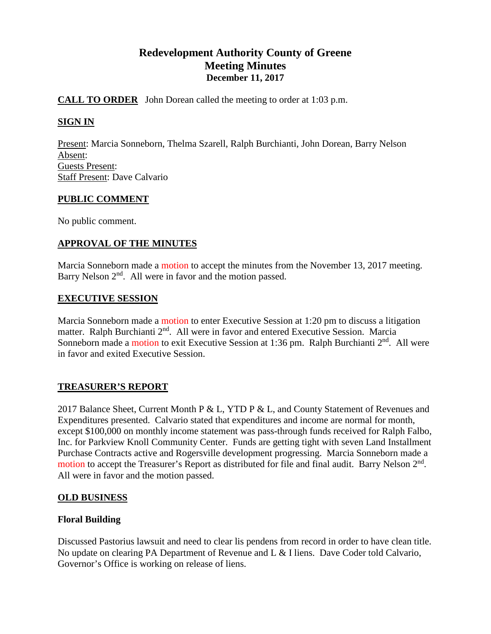# **Redevelopment Authority County of Greene Meeting Minutes December 11, 2017**

## **CALL TO ORDER** John Dorean called the meeting to order at 1:03 p.m.

## **SIGN IN**

Present: Marcia Sonneborn, Thelma Szarell, Ralph Burchianti, John Dorean, Barry Nelson Absent: Guests Present: Staff Present: Dave Calvario

## **PUBLIC COMMENT**

No public comment.

## **APPROVAL OF THE MINUTES**

Marcia Sonneborn made a motion to accept the minutes from the November 13, 2017 meeting. Barry Nelson  $2<sup>nd</sup>$ . All were in favor and the motion passed.

## **EXECUTIVE SESSION**

Marcia Sonneborn made a motion to enter Executive Session at 1:20 pm to discuss a litigation matter. Ralph Burchianti  $2<sup>nd</sup>$ . All were in favor and entered Executive Session. Marcia Sonneborn made a motion to exit Executive Session at 1:36 pm. Ralph Burchianti 2<sup>nd</sup>. All were in favor and exited Executive Session.

## **TREASURER'S REPORT**

2017 Balance Sheet, Current Month P & L, YTD P & L, and County Statement of Revenues and Expenditures presented. Calvario stated that expenditures and income are normal for month, except \$100,000 on monthly income statement was pass-through funds received for Ralph Falbo, Inc. for Parkview Knoll Community Center. Funds are getting tight with seven Land Installment Purchase Contracts active and Rogersville development progressing. Marcia Sonneborn made a motion to accept the Treasurer's Report as distributed for file and final audit. Barry Nelson 2<sup>nd</sup>. All were in favor and the motion passed.

## **OLD BUSINESS**

## **Floral Building**

Discussed Pastorius lawsuit and need to clear lis pendens from record in order to have clean title. No update on clearing PA Department of Revenue and L & I liens. Dave Coder told Calvario, Governor's Office is working on release of liens.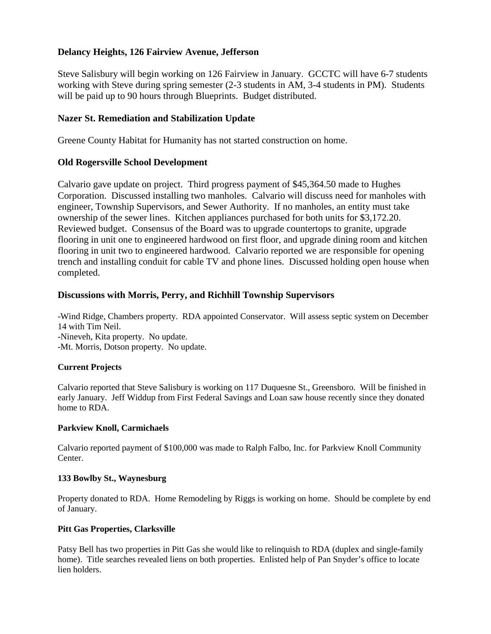## **Delancy Heights, 126 Fairview Avenue, Jefferson**

Steve Salisbury will begin working on 126 Fairview in January. GCCTC will have 6-7 students working with Steve during spring semester (2-3 students in AM, 3-4 students in PM). Students will be paid up to 90 hours through Blueprints. Budget distributed.

## **Nazer St. Remediation and Stabilization Update**

Greene County Habitat for Humanity has not started construction on home.

## **Old Rogersville School Development**

Calvario gave update on project. Third progress payment of \$45,364.50 made to Hughes Corporation. Discussed installing two manholes. Calvario will discuss need for manholes with engineer, Township Supervisors, and Sewer Authority. If no manholes, an entity must take ownership of the sewer lines. Kitchen appliances purchased for both units for \$3,172.20. Reviewed budget. Consensus of the Board was to upgrade countertops to granite, upgrade flooring in unit one to engineered hardwood on first floor, and upgrade dining room and kitchen flooring in unit two to engineered hardwood. Calvario reported we are responsible for opening trench and installing conduit for cable TV and phone lines. Discussed holding open house when completed.

#### **Discussions with Morris, Perry, and Richhill Township Supervisors**

-Wind Ridge, Chambers property. RDA appointed Conservator. Will assess septic system on December 14 with Tim Neil. -Nineveh, Kita property. No update. -Mt. Morris, Dotson property. No update.

## **Current Projects**

Calvario reported that Steve Salisbury is working on 117 Duquesne St., Greensboro. Will be finished in early January. Jeff Widdup from First Federal Savings and Loan saw house recently since they donated home to RDA.

#### **Parkview Knoll, Carmichaels**

Calvario reported payment of \$100,000 was made to Ralph Falbo, Inc. for Parkview Knoll Community Center.

#### **133 Bowlby St., Waynesburg**

Property donated to RDA. Home Remodeling by Riggs is working on home. Should be complete by end of January.

#### **Pitt Gas Properties, Clarksville**

Patsy Bell has two properties in Pitt Gas she would like to relinquish to RDA (duplex and single-family home). Title searches revealed liens on both properties. Enlisted help of Pan Snyder's office to locate lien holders.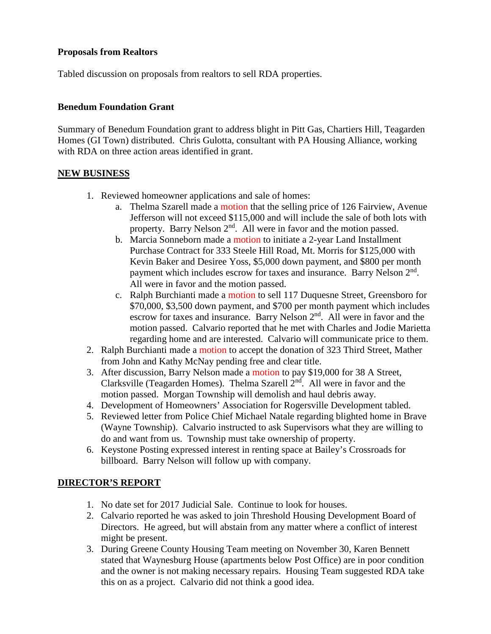## **Proposals from Realtors**

Tabled discussion on proposals from realtors to sell RDA properties.

## **Benedum Foundation Grant**

Summary of Benedum Foundation grant to address blight in Pitt Gas, Chartiers Hill, Teagarden Homes (GI Town) distributed. Chris Gulotta, consultant with PA Housing Alliance, working with RDA on three action areas identified in grant.

## **NEW BUSINESS**

- 1. Reviewed homeowner applications and sale of homes:
	- a. Thelma Szarell made a motion that the selling price of 126 Fairview, Avenue Jefferson will not exceed \$115,000 and will include the sale of both lots with property. Barry Nelson 2<sup>nd</sup>. All were in favor and the motion passed.
	- b. Marcia Sonneborn made a motion to initiate a 2-year Land Installment Purchase Contract for 333 Steele Hill Road, Mt. Morris for \$125,000 with Kevin Baker and Desiree Yoss, \$5,000 down payment, and \$800 per month payment which includes escrow for taxes and insurance. Barry Nelson 2nd. All were in favor and the motion passed.
	- c. Ralph Burchianti made a motion to sell 117 Duquesne Street, Greensboro for \$70,000, \$3,500 down payment, and \$700 per month payment which includes escrow for taxes and insurance. Barry Nelson  $2<sup>nd</sup>$ . All were in favor and the motion passed. Calvario reported that he met with Charles and Jodie Marietta regarding home and are interested. Calvario will communicate price to them.
- 2. Ralph Burchianti made a motion to accept the donation of 323 Third Street, Mather from John and Kathy McNay pending free and clear title.
- 3. After discussion, Barry Nelson made a motion to pay \$19,000 for 38 A Street, Clarksville (Teagarden Homes). Thelma Szarell  $2<sup>nd</sup>$ . All were in favor and the motion passed. Morgan Township will demolish and haul debris away.
- 4. Development of Homeowners' Association for Rogersville Development tabled.
- 5. Reviewed letter from Police Chief Michael Natale regarding blighted home in Brave (Wayne Township). Calvario instructed to ask Supervisors what they are willing to do and want from us. Township must take ownership of property.
- 6. Keystone Posting expressed interest in renting space at Bailey's Crossroads for billboard. Barry Nelson will follow up with company.

## **DIRECTOR'S REPORT**

- 1. No date set for 2017 Judicial Sale. Continue to look for houses.
- 2. Calvario reported he was asked to join Threshold Housing Development Board of Directors. He agreed, but will abstain from any matter where a conflict of interest might be present.
- 3. During Greene County Housing Team meeting on November 30, Karen Bennett stated that Waynesburg House (apartments below Post Office) are in poor condition and the owner is not making necessary repairs. Housing Team suggested RDA take this on as a project. Calvario did not think a good idea.